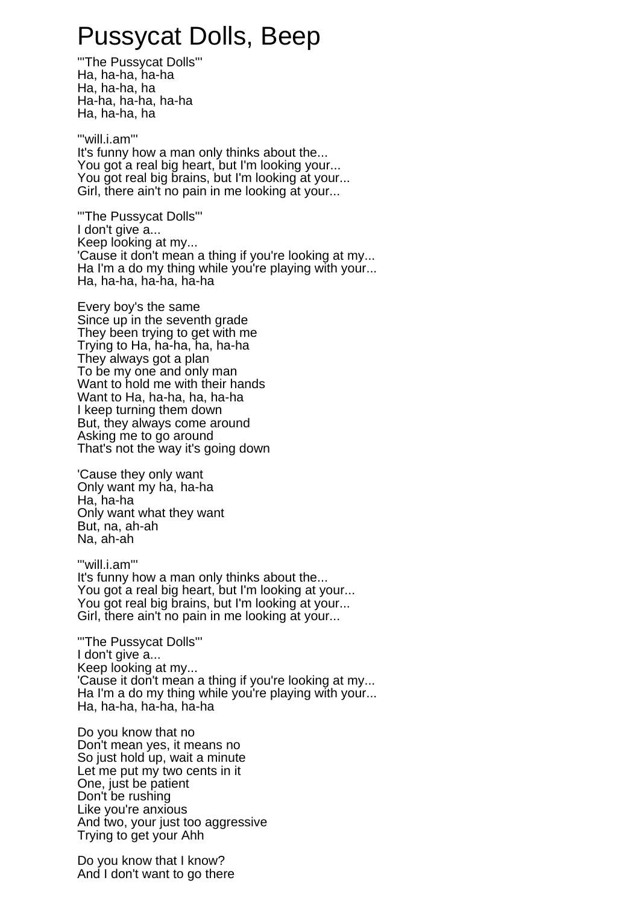## Pussycat Dolls, Beep

'''The Pussycat Dolls''' Ha, ha-ha, ha-ha Ha, ha-ha, ha Ha-ha, ha-ha, ha-ha Ha, ha-ha, ha

'''will.i.am''' It's funny how a man only thinks about the... You got a real big heart, but I'm looking your... You got real big brains, but I'm looking at your... Girl, there ain't no pain in me looking at your...

'''The Pussycat Dolls''' I don't give a... Keep looking at my... 'Cause it don't mean a thing if you're looking at my... Ha I'm a do my thing while you're playing with your... Ha, ha-ha, ha-ha, ha-ha

Every boy's the same Since up in the seventh grade They been trying to get with me Trying to Ha, ha-ha, ha, ha-ha They always got a plan To be my one and only man Want to hold me with their hands Want to Ha, ha-ha, ha, ha-ha I keep turning them down But, they always come around Asking me to go around That's not the way it's going down

'Cause they only want Only want my ha, ha-ha Ha, ha-ha Only want what they want But, na, ah-ah Na, ah-ah

'''will.i.am''' It's funny how a man only thinks about the... You got a real big heart, but I'm looking at your... You got real big brains, but I'm looking at your... Girl, there ain't no pain in me looking at your...

'''The Pussycat Dolls''' I don't give a... Keep looking at my... 'Cause it don't mean a thing if you're looking at my... Ha I'm a do my thing while you're playing with your... Ha, ha-ha, ha-ha, ha-ha

Do you know that no Don't mean yes, it means no So just hold up, wait a minute Let me put my two cents in it One, just be patient Don't be rushing Like you're anxious And two, your just too aggressive Trying to get your Ahh

Do you know that I know? And I don't want to go there